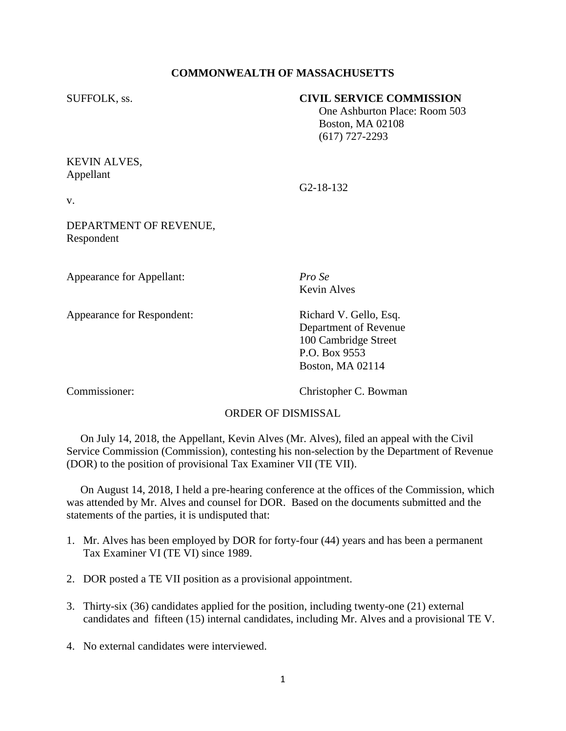## **COMMONWEALTH OF MASSACHUSETTS**

### SUFFOLK, ss. **CIVIL SERVICE COMMISSION**

 One Ashburton Place: Room 503 Boston, MA 02108 (617) 727-2293

# KEVIN ALVES, Appellant

v.

G2-18-132

DEPARTMENT OF REVENUE, Respondent

Appearance for Appellant: *Pro Se*

Appearance for Respondent: Richard V. Gello, Esq.

Kevin Alves

Department of Revenue 100 Cambridge Street P.O. Box 9553 Boston, MA 02114

Commissioner: Christopher C. Bowman

# ORDER OF DISMISSAL

 On July 14, 2018, the Appellant, Kevin Alves (Mr. Alves), filed an appeal with the Civil Service Commission (Commission), contesting his non-selection by the Department of Revenue (DOR) to the position of provisional Tax Examiner VII (TE VII).

 On August 14, 2018, I held a pre-hearing conference at the offices of the Commission, which was attended by Mr. Alves and counsel for DOR. Based on the documents submitted and the statements of the parties, it is undisputed that:

- 1. Mr. Alves has been employed by DOR for forty-four (44) years and has been a permanent Tax Examiner VI (TE VI) since 1989.
- 2. DOR posted a TE VII position as a provisional appointment.
- 3. Thirty-six (36) candidates applied for the position, including twenty-one (21) external candidates and fifteen (15) internal candidates, including Mr. Alves and a provisional TE V.
- 4. No external candidates were interviewed.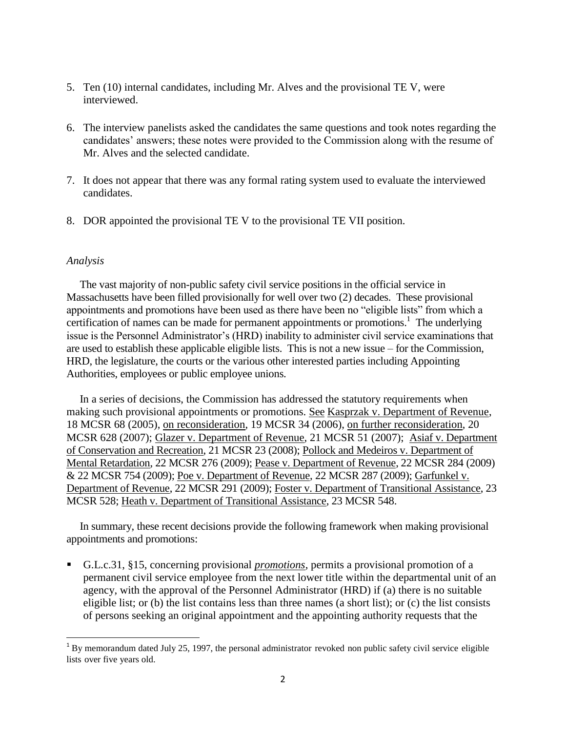- 5. Ten (10) internal candidates, including Mr. Alves and the provisional TE V, were interviewed.
- 6. The interview panelists asked the candidates the same questions and took notes regarding the candidates' answers; these notes were provided to the Commission along with the resume of Mr. Alves and the selected candidate.
- 7. It does not appear that there was any formal rating system used to evaluate the interviewed candidates.
- 8. DOR appointed the provisional TE V to the provisional TE VII position.

#### *Analysis*

 The vast majority of non-public safety civil service positions in the official service in Massachusetts have been filled provisionally for well over two (2) decades. These provisional appointments and promotions have been used as there have been no "eligible lists" from which a certification of names can be made for permanent appointments or promotions.<sup>1</sup> The underlying issue is the Personnel Administrator's (HRD) inability to administer civil service examinations that are used to establish these applicable eligible lists. This is not a new issue – for the Commission, HRD, the legislature, the courts or the various other interested parties including Appointing Authorities, employees or public employee unions.

 In a series of decisions, the Commission has addressed the statutory requirements when making such provisional appointments or promotions. See Kasprzak v. Department of Revenue, 18 MCSR 68 (2005), on reconsideration, 19 MCSR 34 (2006), on further reconsideration, 20 MCSR 628 (2007); Glazer v. Department of Revenue, 21 MCSR 51 (2007); Asiaf v. Department of Conservation and Recreation, 21 MCSR 23 (2008); Pollock and Medeiros v. Department of Mental Retardation, 22 MCSR 276 (2009); Pease v. Department of Revenue, 22 MCSR 284 (2009) & 22 MCSR 754 (2009); Poe v. Department of Revenue, 22 MCSR 287 (2009); Garfunkel v. Department of Revenue, 22 MCSR 291 (2009); Foster v. Department of Transitional Assistance, 23 MCSR 528; Heath v. Department of Transitional Assistance, 23 MCSR 548.

 In summary, these recent decisions provide the following framework when making provisional appointments and promotions:

 G.L.c.31, §15, concerning provisional *promotions*, permits a provisional promotion of a permanent civil service employee from the next lower title within the departmental unit of an agency, with the approval of the Personnel Administrator (HRD) if (a) there is no suitable eligible list; or (b) the list contains less than three names (a short list); or (c) the list consists of persons seeking an original appointment and the appointing authority requests that the

<sup>&</sup>lt;sup>1</sup> By memo[r](http://sll.gvpi.net/document.php?id=csc:0007172-0000000&type=hitlist&num=0#hit5)andum dat[e](http://sll.gvpi.net/document.php?id=csc:0007172-0000000&type=hitlist&num=0#hit6)d July 25, 1997, the personal administrator revoked non public safety civil service eligible list[s](http://sll.gvpi.net/document.php?id=csc:0007172-0000000&type=hitlist&num=0#hit9) over five years old.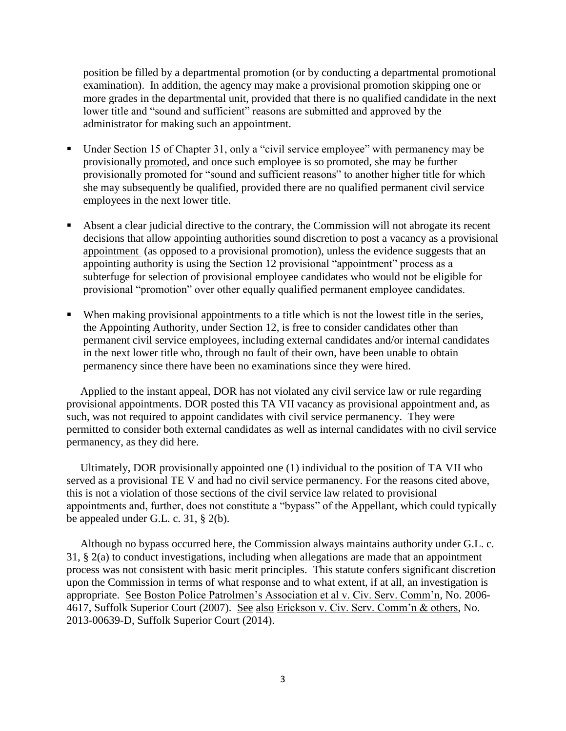position be filled by a departmental promotion (or by conducting a departmental promotional examination). In addition, the agency may make a provisional promotion skipping one or more grades in the departmental unit, provided that there is no qualified candidate in the next lower title and "sound and sufficient" reasons are submitted and approved by the administrator for making such an appointment.

- Under Section 15 of Chapter 31, only a "civil service employee" with permanency may be provisionally promoted, and once such employee is so promoted, she may be further provisionally promoted for "sound and sufficient reasons" to another higher title for which she may subsequently be qualified, provided there are no qualified permanent civil service employees in the next lower title.
- Absent a clear judicial directive to the contrary, the Commission will not abrogate its recent decisions that allow appointing authorities sound discretion to post a vacancy as a provisional appointment (as opposed to a provisional promotion), unless the evidence suggests that an appointing authority is using the Section 12 provisional "appointment" process as a subterfuge for selection of provisional employee candidates who would not be eligible for provisional "promotion" over other equally qualified permanent employee candidates.
- When making provisional appointments to a title which is not the lowest title in the series, the Appointing Authority, under Section 12, is free to consider candidates other than permanent civil service employees, including external candidates and/or internal candidates in the next lower title who, through no fault of their own, have been unable to obtain permanency since there have been no examinations since they were hired.

 Applied to the instant appeal, DOR has not violated any civil service law or rule regarding provisional appointments. DOR posted this TA VII vacancy as provisional appointment and, as such, was not required to appoint candidates with civil service permanency. They were permitted to consider both external candidates as well as internal candidates with no civil service permanency, as they did here.

 Ultimately, DOR provisionally appointed one (1) individual to the position of TA VII who served as a provisional TE V and had no civil service permanency. For the reasons cited above, this is not a violation of those sections of the civil service law related to provisional appointments and, further, does not constitute a "bypass" of the Appellant, which could typically be appealed under G.L. c. 31, § 2(b).

 Although no bypass occurred here, the Commission always maintains authority under G.L. c. 31, § 2(a) to conduct investigations, including when allegations are made that an appointment process was not consistent with basic merit principles. This statute confers significant discretion upon the Commission in terms of what response and to what extent, if at all, an investigation is appropriate. See Boston Police Patrolmen's Association et al v. Civ. Serv. Comm'n, No. 2006- 4617, Suffolk Superior Court (2007). See also Erickson v. Civ. Serv. Comm'n & others, No. 2013-00639-D, Suffolk Superior Court (2014).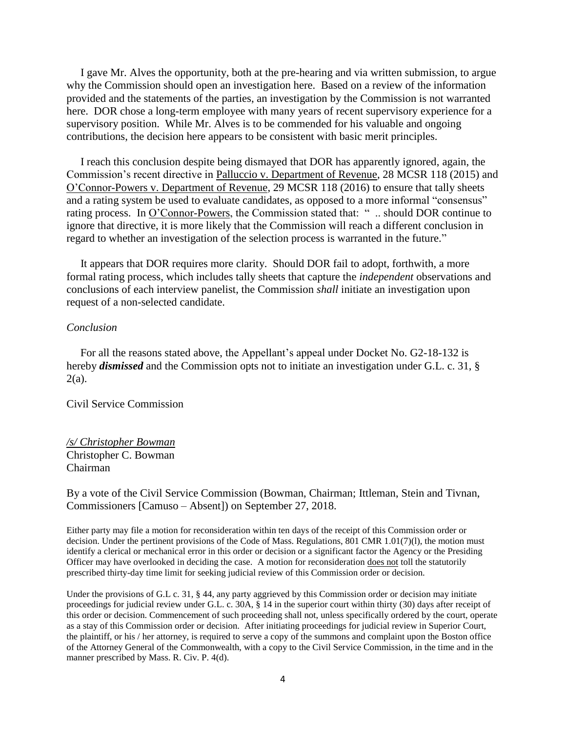I gave Mr. Alves the opportunity, both at the pre-hearing and via written submission, to argue why the Commission should open an investigation here. Based on a review of the information provided and the statements of the parties, an investigation by the Commission is not warranted here. DOR chose a long-term employee with many years of recent supervisory experience for a supervisory position. While Mr. Alves is to be commended for his valuable and ongoing contributions, the decision here appears to be consistent with basic merit principles.

 I reach this conclusion despite being dismayed that DOR has apparently ignored, again, the Commission's recent directive in Palluccio v. Department of Revenue, 28 MCSR 118 (2015) and O'Connor-Powers v. Department of Revenue, 29 MCSR 118 (2016) to ensure that tally sheets and a rating system be used to evaluate candidates, as opposed to a more informal "consensus" rating process. In <u>O'Connor-Powers</u>, the Commission stated that: " ... should DOR continue to ignore that directive, it is more likely that the Commission will reach a different conclusion in regard to whether an investigation of the selection process is warranted in the future."

 It appears that DOR requires more clarity. Should DOR fail to adopt, forthwith, a more formal rating process, which includes tally sheets that capture the *independent* observations and conclusions of each interview panelist, the Commission *shall* initiate an investigation upon request of a non-selected candidate.

#### *Conclusion*

 For all the reasons stated above, the Appellant's appeal under Docket No. G2-18-132 is hereby *dismissed* and the Commission opts not to initiate an investigation under G.L. c. 31, §  $2(a)$ .

Civil Service Commission

## */s/ Christopher Bowman* Christopher C. Bowman Chairman

By a vote of the Civil Service Commission (Bowman, Chairman; Ittleman, Stein and Tivnan, Commissioners [Camuso – Absent]) on September 27, 2018.

Either party may file a motion for reconsideration within ten days of the receipt of this Commission order or decision. Under the pertinent provisions of the Code of Mass. Regulations, 801 CMR 1.01(7)(l), the motion must identify a clerical or mechanical error in this order or decision or a significant factor the Agency or the Presiding Officer may have overlooked in deciding the case. A motion for reconsideration does not toll the statutorily prescribed thirty-day time limit for seeking judicial review of this Commission order or decision.

Under the provisions of G.L c. 31, § 44, any party aggrieved by this Commission order or decision may initiate proceedings for judicial review under G.L. c. 30A, § 14 in the superior court within thirty (30) days after receipt of this order or decision. Commencement of such proceeding shall not, unless specifically ordered by the court, operate as a stay of this Commission order or decision. After initiating proceedings for judicial review in Superior Court, the plaintiff, or his / her attorney, is required to serve a copy of the summons and complaint upon the Boston office of the Attorney General of the Commonwealth, with a copy to the Civil Service Commission, in the time and in the manner prescribed by Mass. R. Civ. P. 4(d).